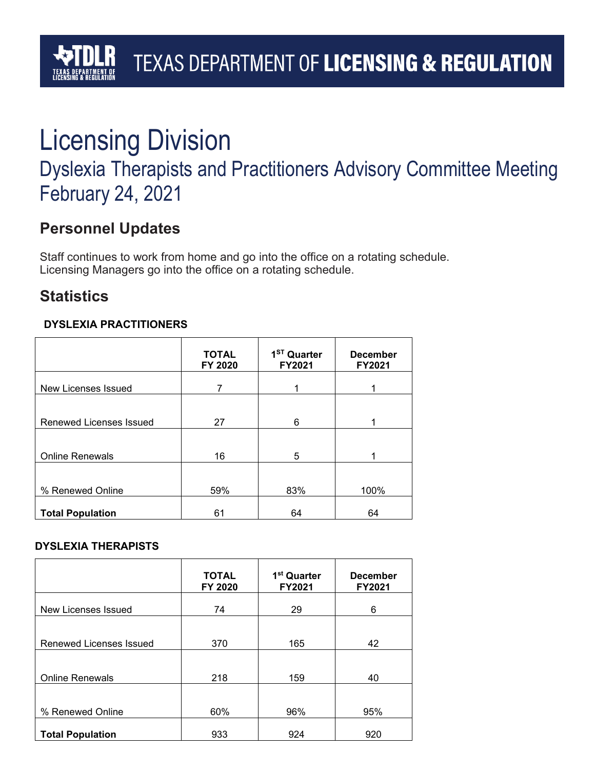## TEXAS DEPARTMENT OF LICENSING & REGULATION

# Licensing Division

### Dyslexia Therapists and Practitioners Advisory Committee Meeting February 24, 2021

### **Personnel Updates**

Staff continues to work from home and go into the office on a rotating schedule. Licensing Managers go into the office on a rotating schedule.

### **Statistics**

#### **DYSLEXIA PRACTITIONERS**

|                         | <b>TOTAL</b><br>FY 2020 | 1 <sup>ST</sup> Quarter<br>FY2021 | <b>December</b><br>FY2021 |
|-------------------------|-------------------------|-----------------------------------|---------------------------|
| New Licenses Issued     | 7                       |                                   |                           |
|                         |                         |                                   |                           |
| Renewed Licenses Issued | 27                      | 6                                 |                           |
| <b>Online Renewals</b>  | 16                      | 5                                 |                           |
|                         |                         |                                   |                           |
| % Renewed Online        | 59%                     | 83%                               | 100%                      |
| <b>Total Population</b> | 61                      | 64                                | 64                        |

#### **DYSLEXIA THERAPISTS**

|                         | <b>TOTAL</b><br>FY 2020 | 1 <sup>st</sup> Quarter<br>FY2021 | <b>December</b><br>FY2021 |
|-------------------------|-------------------------|-----------------------------------|---------------------------|
| New Licenses Issued     | 74                      | 29                                | 6                         |
|                         |                         |                                   |                           |
| Renewed Licenses Issued | 370                     | 165                               | 42                        |
|                         |                         |                                   |                           |
| <b>Online Renewals</b>  | 218                     | 159                               | 40                        |
|                         |                         |                                   |                           |
| % Renewed Online        | 60%                     | 96%                               | 95%                       |
| <b>Total Population</b> | 933                     | 924                               | 920                       |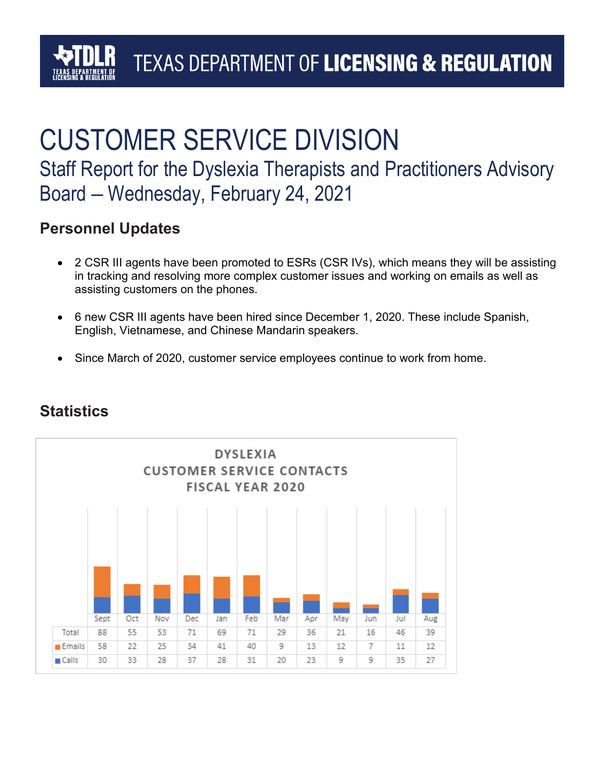### TEXAS DEPARTMENT OF LICENSING & REGULATION

## CUSTOMER SERVICE DIVISION Staff Report for the Dyslexia Therapists and Practitioners Advisory Board – Wednesday, February 24, 2021

#### **Personnel Updates**

- 2 CSR III agents have been promoted to ESRs (CSR IVs), which means they will be assisting in tracking and resolving more complex customer issues and working on emails as well as assisting customers on the phones.
- 6 new CSR III agents have been hired since December 1, 2020. These include Spanish, English, Vietnamese, and Chinese Mandarin speakers.
- Since March of 2020, customer service employees continue to work from home.



#### **Statistics**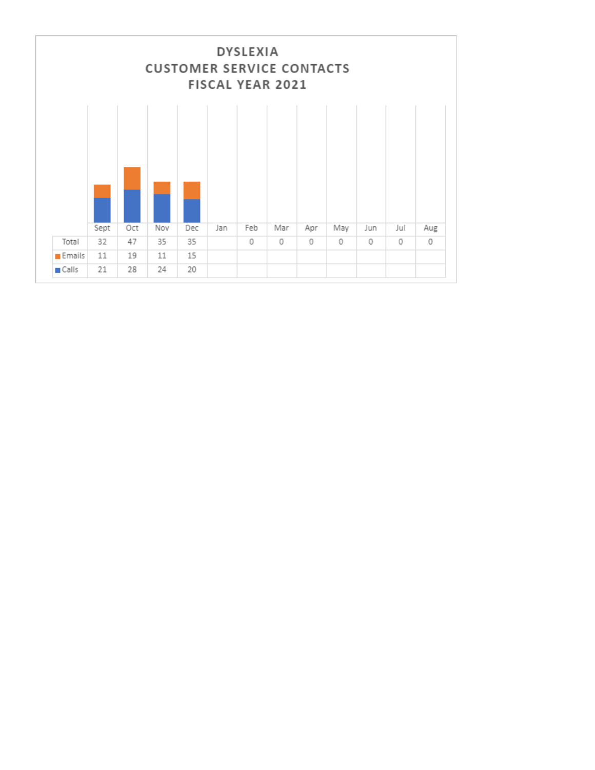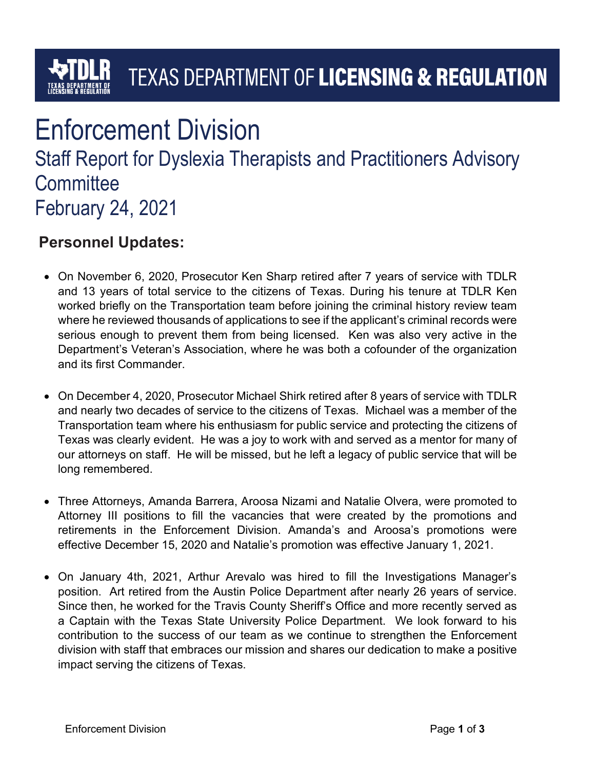# **TEXAS DEPARTMENT OF LICENSING & REGULATION**

### Enforcement Division Staff Report for Dyslexia Therapists and Practitioners Advisory **Committee** February 24, 2021

#### **Personnel Updates:**

- On November 6, 2020, Prosecutor Ken Sharp retired after 7 years of service with TDLR and 13 years of total service to the citizens of Texas. During his tenure at TDLR Ken worked briefly on the Transportation team before joining the criminal history review team where he reviewed thousands of applications to see if the applicant's criminal records were serious enough to prevent them from being licensed. Ken was also very active in the Department's Veteran's Association, where he was both a cofounder of the organization and its first Commander.
- On December 4, 2020, Prosecutor Michael Shirk retired after 8 years of service with TDLR and nearly two decades of service to the citizens of Texas. Michael was a member of the Transportation team where his enthusiasm for public service and protecting the citizens of Texas was clearly evident. He was a joy to work with and served as a mentor for many of our attorneys on staff. He will be missed, but he left a legacy of public service that will be long remembered.
- Three Attorneys, Amanda Barrera, Aroosa Nizami and Natalie Olvera, were promoted to Attorney III positions to fill the vacancies that were created by the promotions and retirements in the Enforcement Division. Amanda's and Aroosa's promotions were effective December 15, 2020 and Natalie's promotion was effective January 1, 2021.
- On January 4th, 2021, Arthur Arevalo was hired to fill the Investigations Manager's position. Art retired from the Austin Police Department after nearly 26 years of service. Since then, he worked for the Travis County Sheriff's Office and more recently served as a Captain with the Texas State University Police Department. We look forward to his contribution to the success of our team as we continue to strengthen the Enforcement division with staff that embraces our mission and shares our dedication to make a positive impact serving the citizens of Texas.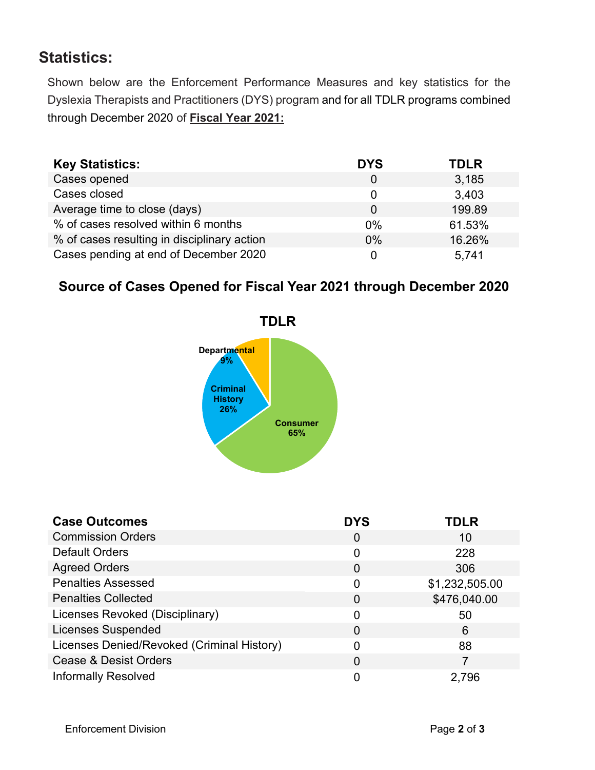### **Statistics:**

Shown below are the Enforcement Performance Measures and key statistics for the Dyslexia Therapists and Practitioners (DYS) program and for all TDLR programs combined through December 2020 of **Fiscal Year 2021:**

| <b>Key Statistics:</b>                      | <b>DYS</b> | <b>TDLR</b> |
|---------------------------------------------|------------|-------------|
| Cases opened                                | 0          | 3,185       |
| Cases closed                                | 0          | 3,403       |
| Average time to close (days)                | 0          | 199.89      |
| % of cases resolved within 6 months         | $0\%$      | 61.53%      |
| % of cases resulting in disciplinary action | 0%         | 16.26%      |
| Cases pending at end of December 2020       |            | 5.741       |

#### **Source of Cases Opened for Fiscal Year 2021 through December 2020**



| <b>Case Outcomes</b>                       | <b>DYS</b>     | <b>TDLR</b>    |
|--------------------------------------------|----------------|----------------|
| <b>Commission Orders</b>                   | $\overline{0}$ | 10             |
| <b>Default Orders</b>                      | 0              | 228            |
| <b>Agreed Orders</b>                       | $\overline{0}$ | 306            |
| <b>Penalties Assessed</b>                  | 0              | \$1,232,505.00 |
| <b>Penalties Collected</b>                 | 0              | \$476,040.00   |
| Licenses Revoked (Disciplinary)            | 0              | 50             |
| <b>Licenses Suspended</b>                  | $\Omega$       | 6              |
| Licenses Denied/Revoked (Criminal History) | 0              | 88             |
| <b>Cease &amp; Desist Orders</b>           | $\overline{0}$ | 7              |
| <b>Informally Resolved</b>                 |                | 2,796          |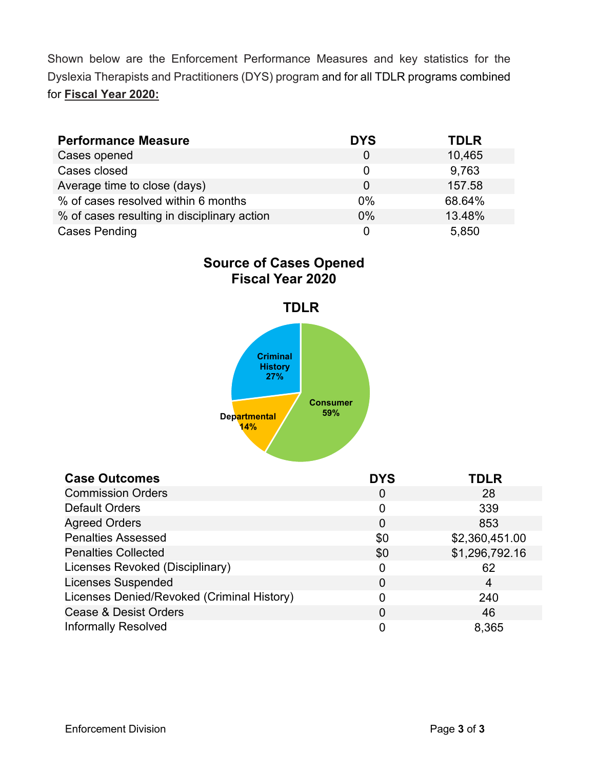Shown below are the Enforcement Performance Measures and key statistics for the Dyslexia Therapists and Practitioners (DYS) program and for all TDLR programs combined for **Fiscal Year 2020:**

| <b>Performance Measure</b>                  | <b>DYS</b> | <b>TDLR</b> |
|---------------------------------------------|------------|-------------|
| Cases opened                                | 0          | 10,465      |
| Cases closed                                | 0          | 9,763       |
| Average time to close (days)                | $\Omega$   | 157.58      |
| % of cases resolved within 6 months         | 0%         | 68.64%      |
| % of cases resulting in disciplinary action | 0%         | 13.48%      |
| <b>Cases Pending</b>                        |            | 5,850       |

**Source of Cases Opened Fiscal Year 2020**



| <b>Case Outcomes</b>                       | <b>DYS</b>     | <b>TDLR</b>    |
|--------------------------------------------|----------------|----------------|
| <b>Commission Orders</b>                   | 0              | 28             |
| <b>Default Orders</b>                      | 0              | 339            |
| <b>Agreed Orders</b>                       | $\overline{0}$ | 853            |
| <b>Penalties Assessed</b>                  | \$0            | \$2,360,451.00 |
| <b>Penalties Collected</b>                 | \$0            | \$1,296,792.16 |
| Licenses Revoked (Disciplinary)            | 0              | 62             |
| <b>Licenses Suspended</b>                  | 0              | 4              |
| Licenses Denied/Revoked (Criminal History) |                | 240            |
| <b>Cease &amp; Desist Orders</b>           | 0              | 46             |
| <b>Informally Resolved</b>                 | 0              | 8,365          |

Enforcement Division Page **3** of **3**